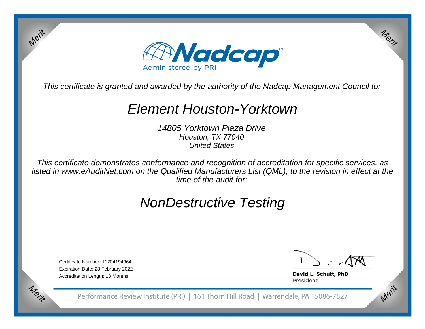

This certificate is granted and awarded by the authority of the Nadcap Management Council to:

## Element Houston-Yorktown

14805 Yorktown Plaza DriveHouston, TX 77040United States

This certificate demonstrates conformance and recognition of accreditation for specific services, as listed in www.eAuditNet.com on the Qualified Manufacturers List (QML), to the revision in effect at thetime of the audit for:

# NonDestructive Testing

Certificate Number: 11204194964 Expiration Date: 28 February 2022Accreditation Length: 18 Months

Merit

Merit

Merit

Merit

David L. Schutt, PhD President

Performance Review Institute (PRI) | 161 Thorn Hill Road | Warrendale, PA 15086-7527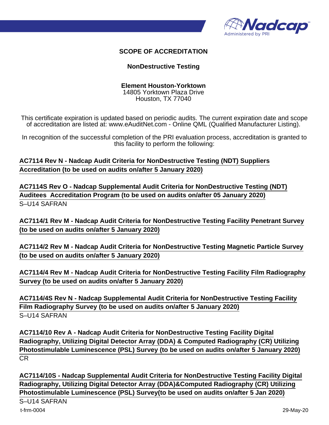

### **SCOPE OF ACCREDITATION**

#### **NonDestructive Testing**

#### **Element Houston-Yorktown** 14805 Yorktown Plaza Drive

Houston, TX 77040

This certificate expiration is updated based on periodic audits. The current expiration date and scope of accreditation are listed at: www.eAuditNet.com - Online QML (Qualified Manufacturer Listing).

In recognition of the successful completion of the PRI evaluation process, accreditation is granted to this facility to perform the following:

**AC7114 Rev N - Nadcap Audit Criteria for NonDestructive Testing (NDT) Suppliers Accreditation (to be used on audits on/after 5 January 2020)**

**AC7114S Rev O - Nadcap Supplemental Audit Criteria for NonDestructive Testing (NDT) Auditees Accreditation Program (to be used on audits on/after 05 January 2020)** S–U14 SAFRAN

**AC7114/1 Rev M - Nadcap Audit Criteria for NonDestructive Testing Facility Penetrant Survey (to be used on audits on/after 5 January 2020)**

**AC7114/2 Rev M - Nadcap Audit Criteria for NonDestructive Testing Magnetic Particle Survey (to be used on audits on/after 5 January 2020)**

**AC7114/4 Rev M - Nadcap Audit Criteria for NonDestructive Testing Facility Film Radiography Survey (to be used on audits on/after 5 January 2020)**

**AC7114/4S Rev N - Nadcap Supplemental Audit Criteria for NonDestructive Testing Facility Film Radiography Survey (to be used on audits on/after 5 January 2020)** S–U14 SAFRAN

**AC7114/10 Rev A - Nadcap Audit Criteria for NonDestructive Testing Facility Digital Radiography, Utilizing Digital Detector Array (DDA) & Computed Radiography (CR) Utilizing Photostimulable Luminescence (PSL) Survey (to be used on audits on/after 5 January 2020)** CR

**AC7114/10S - Nadcap Supplemental Audit Criteria for NonDestructive Testing Facility Digital Radiography, Utilizing Digital Detector Array (DDA)&Computed Radiography (CR) Utilizing Photostimulable Luminescence (PSL) Survey(to be used on audits on/after 5 Jan 2020)**